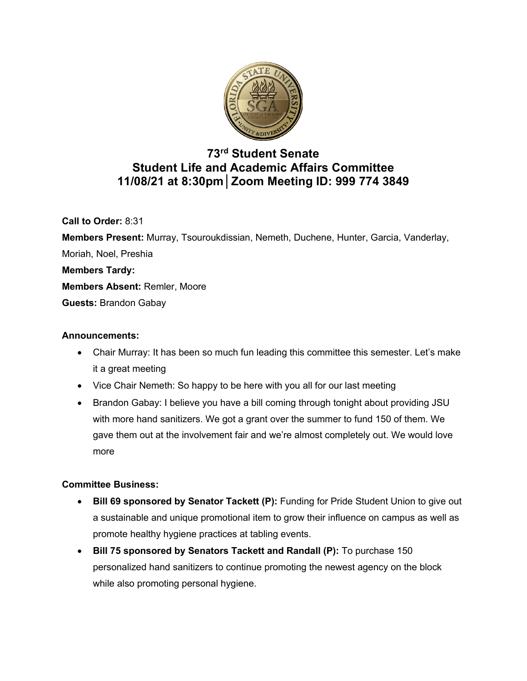

# **73rd Student Senate Student Life and Academic Affairs Committee 11/08/21 at 8:30pm│Zoom Meeting ID: 999 774 3849**

**Call to Order:** 8:31

**Members Present:** Murray, Tsouroukdissian, Nemeth, Duchene, Hunter, Garcia, Vanderlay, Moriah, Noel, Preshia **Members Tardy: Members Absent:** Remler, Moore **Guests:** Brandon Gabay

## **Announcements:**

- Chair Murray: It has been so much fun leading this committee this semester. Let's make it a great meeting
- Vice Chair Nemeth: So happy to be here with you all for our last meeting
- Brandon Gabay: I believe you have a bill coming through tonight about providing JSU with more hand sanitizers. We got a grant over the summer to fund 150 of them. We gave them out at the involvement fair and we're almost completely out. We would love more

# **Committee Business:**

- **Bill 69 sponsored by Senator Tackett (P):** Funding for Pride Student Union to give out a sustainable and unique promotional item to grow their influence on campus as well as promote healthy hygiene practices at tabling events.
- **Bill 75 sponsored by Senators Tackett and Randall (P):** To purchase 150 personalized hand sanitizers to continue promoting the newest agency on the block while also promoting personal hygiene.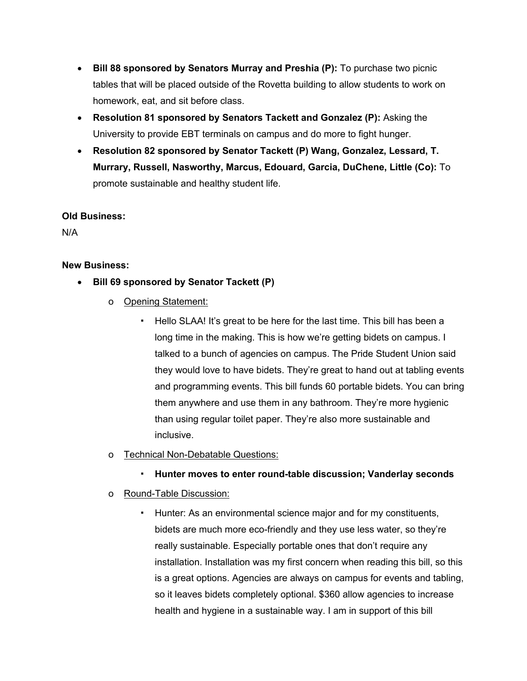- **Bill 88 sponsored by Senators Murray and Preshia (P):** To purchase two picnic tables that will be placed outside of the Rovetta building to allow students to work on homework, eat, and sit before class.
- **Resolution 81 sponsored by Senators Tackett and Gonzalez (P):** Asking the University to provide EBT terminals on campus and do more to fight hunger.
- **Resolution 82 sponsored by Senator Tackett (P) Wang, Gonzalez, Lessard, T. Murrary, Russell, Nasworthy, Marcus, Edouard, Garcia, DuChene, Little (Co):** To promote sustainable and healthy student life.

### **Old Business:**

N/A

## **New Business:**

- **Bill 69 sponsored by Senator Tackett (P)**
	- o Opening Statement:
		- Hello SLAA! It's great to be here for the last time. This bill has been a long time in the making. This is how we're getting bidets on campus. I talked to a bunch of agencies on campus. The Pride Student Union said they would love to have bidets. They're great to hand out at tabling events and programming events. This bill funds 60 portable bidets. You can bring them anywhere and use them in any bathroom. They're more hygienic than using regular toilet paper. They're also more sustainable and inclusive.

### o Technical Non-Debatable Questions:

▪ **Hunter moves to enter round-table discussion; Vanderlay seconds**

# o Round-Table Discussion:

Hunter: As an environmental science major and for my constituents, bidets are much more eco-friendly and they use less water, so they're really sustainable. Especially portable ones that don't require any installation. Installation was my first concern when reading this bill, so this is a great options. Agencies are always on campus for events and tabling, so it leaves bidets completely optional. \$360 allow agencies to increase health and hygiene in a sustainable way. I am in support of this bill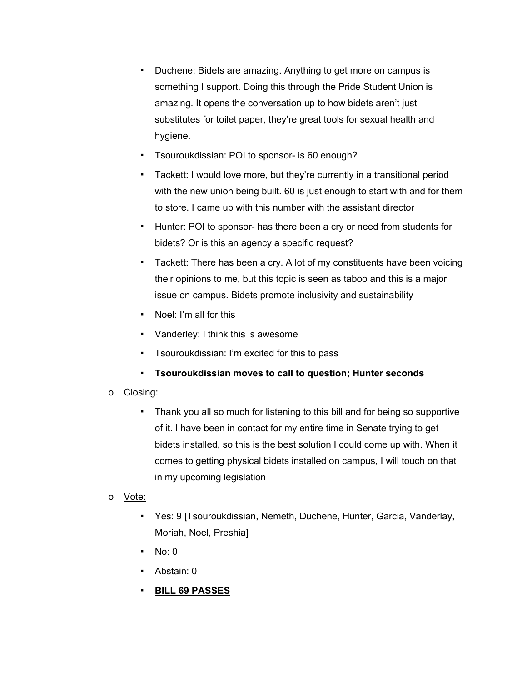- Duchene: Bidets are amazing. Anything to get more on campus is something I support. Doing this through the Pride Student Union is amazing. It opens the conversation up to how bidets aren't just substitutes for toilet paper, they're great tools for sexual health and hygiene.
- Tsouroukdissian: POI to sponsor- is 60 enough?
- Tackett: I would love more, but they're currently in a transitional period with the new union being built. 60 is just enough to start with and for them to store. I came up with this number with the assistant director
- Hunter: POI to sponsor- has there been a cry or need from students for bidets? Or is this an agency a specific request?
- Tackett: There has been a cry. A lot of my constituents have been voicing their opinions to me, but this topic is seen as taboo and this is a major issue on campus. Bidets promote inclusivity and sustainability
- Noel: I'm all for this
- Vanderley: I think this is awesome
- Tsouroukdissian: I'm excited for this to pass
- **Tsouroukdissian moves to call to question; Hunter seconds**
- o Closing:
	- Thank you all so much for listening to this bill and for being so supportive of it. I have been in contact for my entire time in Senate trying to get bidets installed, so this is the best solution I could come up with. When it comes to getting physical bidets installed on campus, I will touch on that in my upcoming legislation
- o Vote:
	- Yes: 9 [Tsouroukdissian, Nemeth, Duchene, Hunter, Garcia, Vanderlay, Moriah, Noel, Preshia]
	- $\blacksquare$  No: 0
	- Abstain: 0
	- **BILL 69 PASSES**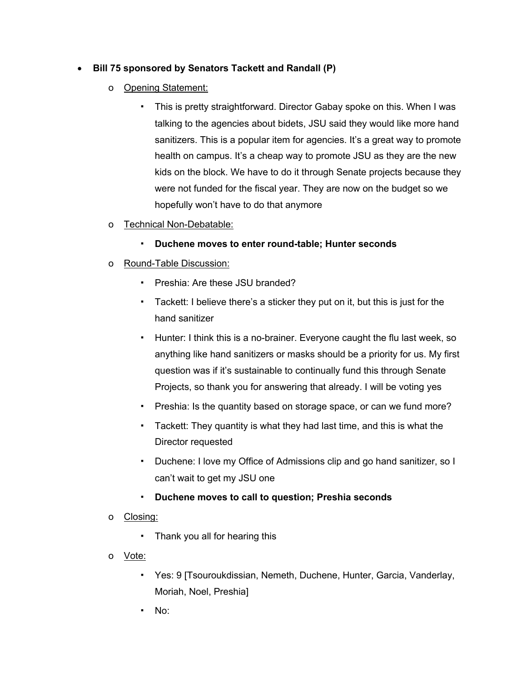# • **Bill 75 sponsored by Senators Tackett and Randall (P)**

- o Opening Statement:
	- This is pretty straightforward. Director Gabay spoke on this. When I was talking to the agencies about bidets, JSU said they would like more hand sanitizers. This is a popular item for agencies. It's a great way to promote health on campus. It's a cheap way to promote JSU as they are the new kids on the block. We have to do it through Senate projects because they were not funded for the fiscal year. They are now on the budget so we hopefully won't have to do that anymore
- o Technical Non-Debatable:
	- **Duchene moves to enter round-table; Hunter seconds**
- o Round-Table Discussion:
	- Preshia: Are these JSU branded?
	- Tackett: I believe there's a sticker they put on it, but this is just for the hand sanitizer
	- Hunter: I think this is a no-brainer. Everyone caught the flu last week, so anything like hand sanitizers or masks should be a priority for us. My first question was if it's sustainable to continually fund this through Senate Projects, so thank you for answering that already. I will be voting yes
	- Preshia: Is the quantity based on storage space, or can we fund more?
	- Tackett: They quantity is what they had last time, and this is what the Director requested
	- Duchene: I love my Office of Admissions clip and go hand sanitizer, so I can't wait to get my JSU one
	- **Duchene moves to call to question; Preshia seconds**
- o Closing:
	- Thank you all for hearing this
- o Vote:
	- Yes: 9 [Tsouroukdissian, Nemeth, Duchene, Hunter, Garcia, Vanderlay, Moriah, Noel, Preshia]
	- No: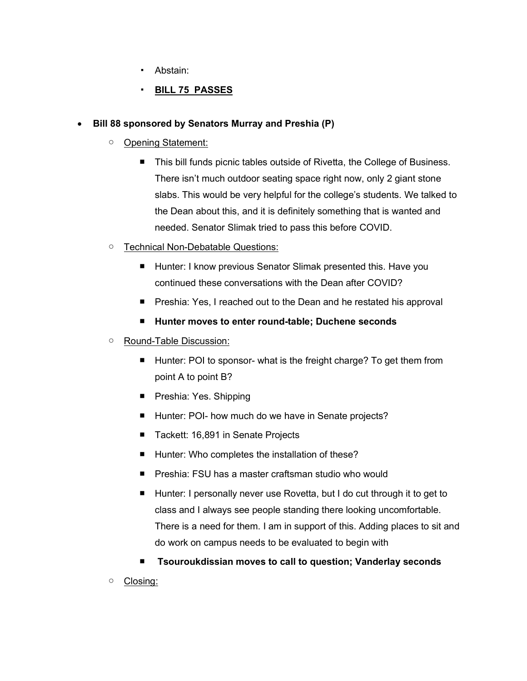- Abstain:
- **BILL 75 PASSES**

## • **Bill 88 sponsored by Senators Murray and Preshia (P)**

- Opening Statement:
	- This bill funds picnic tables outside of Rivetta, the College of Business. There isn't much outdoor seating space right now, only 2 giant stone slabs. This would be very helpful for the college's students. We talked to the Dean about this, and it is definitely something that is wanted and needed. Senator Slimak tried to pass this before COVID.
- Technical Non-Debatable Questions:
	- Hunter: I know previous Senator Slimak presented this. Have you continued these conversations with the Dean after COVID?
	- Preshia: Yes, I reached out to the Dean and he restated his approval
	- **Hunter moves to enter round-table; Duchene seconds**
- Round-Table Discussion:
	- Hunter: POI to sponsor- what is the freight charge? To get them from point A to point B?
	- Preshia: Yes. Shipping
	- Hunter: POI- how much do we have in Senate projects?
	- Tackett: 16,891 in Senate Projects
	- Hunter: Who completes the installation of these?
	- Preshia: FSU has a master craftsman studio who would
	- Hunter: I personally never use Rovetta, but I do cut through it to get to class and I always see people standing there looking uncomfortable. There is a need for them. I am in support of this. Adding places to sit and do work on campus needs to be evaluated to begin with
	- **Tsouroukdissian moves to call to question; Vanderlay seconds**
- Closing: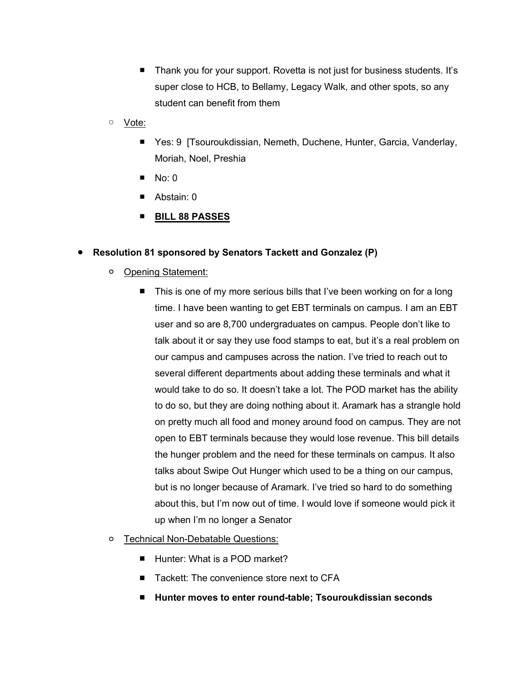- Thank you for your support. Rovetta is not just for business students. It's super close to HCB, to Bellamy, Legacy Walk, and other spots, so any student can benefit from them
- Vote:
	- Yes: 9 [Tsouroukdissian, Nemeth, Duchene, Hunter, Garcia, Vanderlay, Moriah, Noel, Preshia
	- $\blacksquare$  No: 0
	- Abstain: 0
	- **BILL 88 PASSES**

### ● **Resolution 81 sponsored by Senators Tackett and Gonzalez (P)**

- Opening Statement:
	- This is one of my more serious bills that I've been working on for a long time. I have been wanting to get EBT terminals on campus. I am an EBT user and so are 8,700 undergraduates on campus. People don't like to talk about it or say they use food stamps to eat, but it's a real problem on our campus and campuses across the nation. I've tried to reach out to several different departments about adding these terminals and what it would take to do so. It doesn't take a lot. The POD market has the ability to do so, but they are doing nothing about it. Aramark has a strangle hold on pretty much all food and money around food on campus. They are not open to EBT terminals because they would lose revenue. This bill details the hunger problem and the need for these terminals on campus. It also talks about Swipe Out Hunger which used to be a thing on our campus, but is no longer because of Aramark. I've tried so hard to do something about this, but I'm now out of time. I would love if someone would pick it up when I'm no longer a Senator
- Technical Non-Debatable Questions:
	- Hunter: What is a POD market?
	- Tackett: The convenience store next to CFA
	- **Hunter moves to enter round-table; Tsouroukdissian seconds**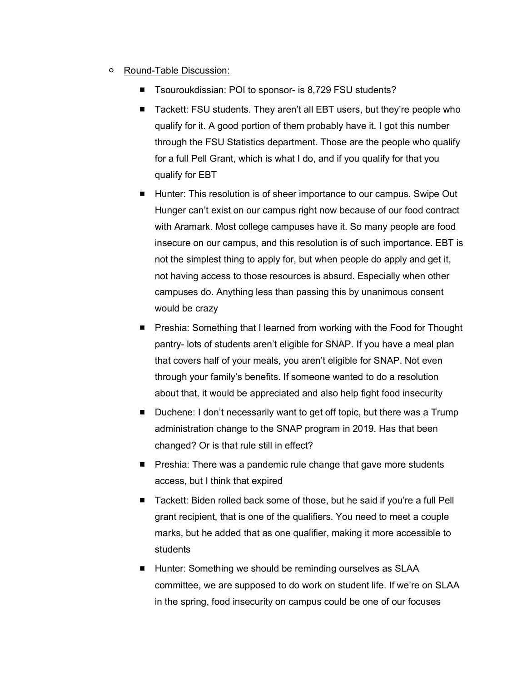- Round-Table Discussion:
	- Tsouroukdissian: POI to sponsor- is 8,729 FSU students?
	- Tackett: FSU students. They aren't all EBT users, but they're people who qualify for it. A good portion of them probably have it. I got this number through the FSU Statistics department. Those are the people who qualify for a full Pell Grant, which is what I do, and if you qualify for that you qualify for EBT
	- Hunter: This resolution is of sheer importance to our campus. Swipe Out Hunger can't exist on our campus right now because of our food contract with Aramark. Most college campuses have it. So many people are food insecure on our campus, and this resolution is of such importance. EBT is not the simplest thing to apply for, but when people do apply and get it, not having access to those resources is absurd. Especially when other campuses do. Anything less than passing this by unanimous consent would be crazy
	- Preshia: Something that I learned from working with the Food for Thought pantry- lots of students aren't eligible for SNAP. If you have a meal plan that covers half of your meals, you aren't eligible for SNAP. Not even through your family's benefits. If someone wanted to do a resolution about that, it would be appreciated and also help fight food insecurity
	- Duchene: I don't necessarily want to get off topic, but there was a Trump administration change to the SNAP program in 2019. Has that been changed? Or is that rule still in effect?
	- Preshia: There was a pandemic rule change that gave more students access, but I think that expired
	- Tackett: Biden rolled back some of those, but he said if you're a full Pell grant recipient, that is one of the qualifiers. You need to meet a couple marks, but he added that as one qualifier, making it more accessible to students
	- Hunter: Something we should be reminding ourselves as SLAA committee, we are supposed to do work on student life. If we're on SLAA in the spring, food insecurity on campus could be one of our focuses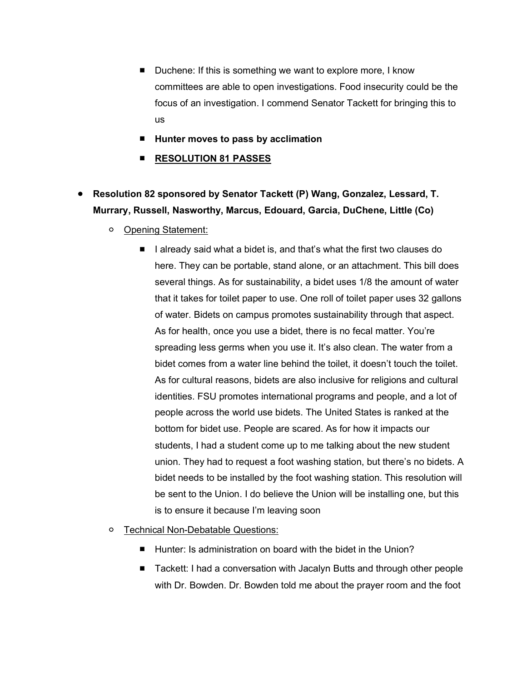- Duchene: If this is something we want to explore more, I know committees are able to open investigations. Food insecurity could be the focus of an investigation. I commend Senator Tackett for bringing this to us
- **Hunter moves to pass by acclimation**
- **RESOLUTION 81 PASSES**
- **Resolution 82 sponsored by Senator Tackett (P) Wang, Gonzalez, Lessard, T. Murrary, Russell, Nasworthy, Marcus, Edouard, Garcia, DuChene, Little (Co)**
	- Opening Statement:
		- I already said what a bidet is, and that's what the first two clauses do here. They can be portable, stand alone, or an attachment. This bill does several things. As for sustainability, a bidet uses 1/8 the amount of water that it takes for toilet paper to use. One roll of toilet paper uses 32 gallons of water. Bidets on campus promotes sustainability through that aspect. As for health, once you use a bidet, there is no fecal matter. You're spreading less germs when you use it. It's also clean. The water from a bidet comes from a water line behind the toilet, it doesn't touch the toilet. As for cultural reasons, bidets are also inclusive for religions and cultural identities. FSU promotes international programs and people, and a lot of people across the world use bidets. The United States is ranked at the bottom for bidet use. People are scared. As for how it impacts our students, I had a student come up to me talking about the new student union. They had to request a foot washing station, but there's no bidets. A bidet needs to be installed by the foot washing station. This resolution will be sent to the Union. I do believe the Union will be installing one, but this is to ensure it because I'm leaving soon
	- Technical Non-Debatable Questions:
		- Hunter: Is administration on board with the bidet in the Union?
		- Tackett: I had a conversation with Jacalyn Butts and through other people with Dr. Bowden. Dr. Bowden told me about the prayer room and the foot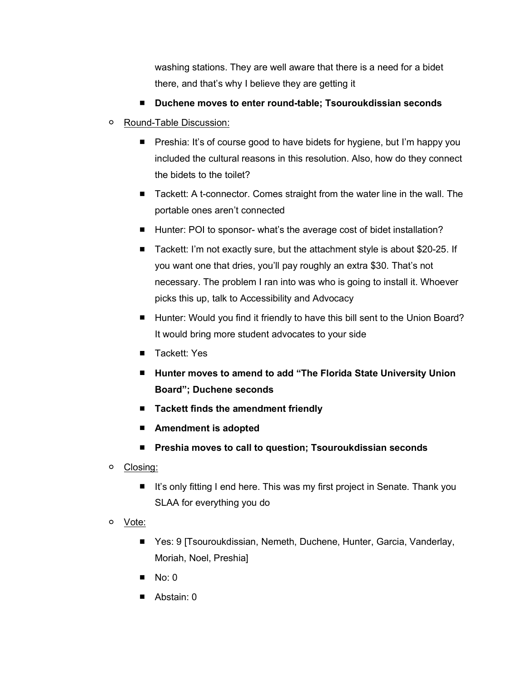washing stations. They are well aware that there is a need for a bidet there, and that's why I believe they are getting it

- **Duchene moves to enter round-table; Tsouroukdissian seconds**
- Round-Table Discussion:
	- Preshia: It's of course good to have bidets for hygiene, but I'm happy you included the cultural reasons in this resolution. Also, how do they connect the bidets to the toilet?
	- Tackett: A t-connector. Comes straight from the water line in the wall. The portable ones aren't connected
	- Hunter: POI to sponsor- what's the average cost of bidet installation?
	- Tackett: I'm not exactly sure, but the attachment style is about \$20-25. If you want one that dries, you'll pay roughly an extra \$30. That's not necessary. The problem I ran into was who is going to install it. Whoever picks this up, talk to Accessibility and Advocacy
	- Hunter: Would you find it friendly to have this bill sent to the Union Board? It would bring more student advocates to your side
	- Tackett: Yes
	- **Hunter moves to amend to add "The Florida State University Union Board"; Duchene seconds**
	- **Tackett finds the amendment friendly**
	- **Amendment** is adopted
	- **Preshia moves to call to question; Tsouroukdissian seconds**
- Closing:
	- It's only fitting I end here. This was my first project in Senate. Thank you SLAA for everything you do
- Vote:
	- Yes: 9 [Tsouroukdissian, Nemeth, Duchene, Hunter, Garcia, Vanderlay, Moriah, Noel, Preshia]
	- $\blacksquare$  No: 0
	- Abstain: 0